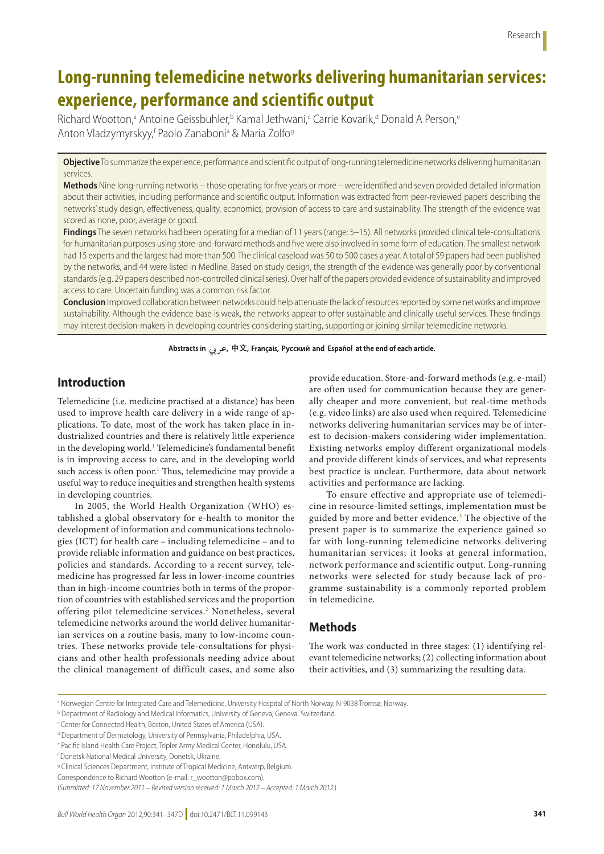# **Long-running telemedicine networks delivering humanitarian services: experience, performance and scientific output**

Richard Wootton,<sup>a</sup> Antoine Geissbuhler,<sup>b</sup> Kamal Jethwani,<sup>c</sup> Carrie Kovarik,<sup>d</sup> Donald A Person,<sup>e</sup> Anton Vladzymyrskyy,<sup>f</sup> Paolo Zanaboniª & Maria Zolfo<sup>g</sup>

**Objective** To summarize the experience, performance and scientific output of long-running telemedicine networks delivering humanitarian services.

**Methods** Nine long-running networks – those operating for five years or more – were identified and seven provided detailed information about their activities, including performance and scientific output. Information was extracted from peer-reviewed papers describing the networks' study design, effectiveness, quality, economics, provision of access to care and sustainability. The strength of the evidence was scored as none, poor, average or good.

**Findings** The seven networks had been operating for a median of 11 years (range: 5–15). All networks provided clinical tele-consultations for humanitarian purposes using store-and-forward methods and five were also involved in some form of education. The smallest network had 15 experts and the largest had more than 500. The clinical caseload was 50 to 500 cases a year. A total of 59 papers had been published by the networks, and 44 were listed in Medline. Based on study design, the strength of the evidence was generally poor by conventional standards (e.g. 29 papers described non-controlled clinical series). Over half of the papers provided evidence of sustainability and improved access to care. Uncertain funding was a common risk factor.

**Conclusion** Improved collaboration between networks could help attenuate the lack of resources reported by some networks and improve sustainability. Although the evidence base is weak, the networks appear to offer sustainable and clinically useful services. These findings may interest decision-makers in developing countries considering starting, supporting or joining similar telemedicine networks.

Abstracts in جربی, 中文, Français, Русский and Español at the end of each article.

# **Introduction**

Telemedicine (i.e. medicine practised at a distance) has been used to improve health care delivery in a wide range of applications. To date, most of the work has taken place in industrialized countries and there is relatively little experience in the developing world.<sup>1</sup> Telemedicine's fundamental benefit is in improving access to care, and in the developing world such access is often poor.<sup>1</sup> Thus, telemedicine may provide a useful way to reduce inequities and strengthen health systems in developing countries.

In 2005, the World Health Organization (WHO) established a global observatory for e-health to monitor the development of information and communications technologies (ICT) for health care – including telemedicine – and to provide reliable information and guidance on best practices, policies and standards. According to a recent survey, telemedicine has progressed far less in lower-income countries than in high-income countries both in terms of the proportion of countries with established services and the proportion offering pilot telemedicine services.<sup>2</sup> Nonetheless, several telemedicine networks around the world deliver humanitarian services on a routine basis, many to low-income countries. These networks provide tele-consultations for physicians and other health professionals needing advice about the clinical management of difficult cases, and some also

provide education. Store-and-forward methods (e.g. e-mail) are often used for communication because they are generally cheaper and more convenient, but real-time methods (e.g. video links) are also used when required. Telemedicine networks delivering humanitarian services may be of interest to decision-makers considering wider implementation. Existing networks employ different organizational models and provide different kinds of services, and what represents best practice is unclear. Furthermore, data about network activities and performance are lacking.

To ensure effective and appropriate use of telemedicine in resource-limited settings, implementation must be guided by more and better evidence.<sup>3</sup> The objective of the present paper is to summarize the experience gained so far with long-running telemedicine networks delivering humanitarian services; it looks at general information, network performance and scientific output. Long-running networks were selected for study because lack of programme sustainability is a commonly reported problem in telemedicine.

# **Methods**

The work was conducted in three stages: (1) identifying relevant telemedicine networks; (2) collecting information about their activities, and (3) summarizing the resulting data.

a Norwegian Centre for Integrated Care and Telemedicine, University Hospital of North Norway, N-9038 Tromsø, Norway.

**b** Department of Radiology and Medical Informatics, University of Geneva, Geneva, Switzerland.

<sup>&</sup>lt;sup>c</sup> Center for Connected Health, Boston, United States of America (USA).

<sup>&</sup>lt;sup>d</sup> Department of Dermatology, University of Pennsylvania, Philadelphia, USA.

e Pacific Island Health Care Project, Tripler Army Medical Center, Honolulu, USA.

f Donetsk National Medical University, Donetsk, Ukraine.

<sup>&</sup>lt;sup>9</sup> Clinical Sciences Department, Institute of Tropical Medicine, Antwerp, Belgium.

Correspondence to Richard Wootton (e-mail: r\_wootton@pobox.com).

<sup>(</sup>*Submitted: 17 November 2011 – Revised version received: 1 March 2012 – Accepted: 1 March 2012* )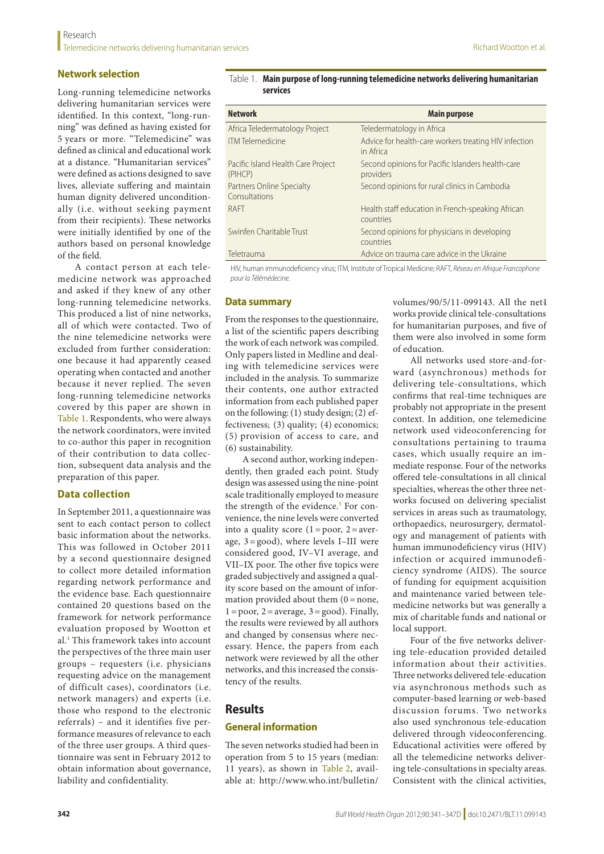## **Network selection**

Long-running telemedicine networks delivering humanitarian services were identified. In this context, "long-running" was defined as having existed for 5 years or more. "Telemedicine" was defined as clinical and educational work at a distance. "Humanitarian services" were defined as actions designed to save lives, alleviate suffering and maintain human dignity delivered unconditionally (i.e. without seeking payment from their recipients). These networks were initially identified by one of the authors based on personal knowledge of the field.

A contact person at each telemedicine network was approached and asked if they knew of any other long-running telemedicine networks. This produced a list of nine networks, all of which were contacted. Two of the nine telemedicine networks were excluded from further consideration: one because it had apparently ceased operating when contacted and another because it never replied. The seven long-running telemedicine networks covered by this paper are shown in [Table](#page-1-0) 1. Respondents, who were always the network coordinators, were invited to co-author this paper in recognition of their contribution to data collection, subsequent data analysis and the preparation of this paper.

# **Data collection**

In September 2011, a questionnaire was sent to each contact person to collect basic information about the networks. This was followed in October 2011 by a second questionnaire designed to collect more detailed information regarding network performance and the evidence base. Each questionnaire contained 20 questions based on the framework for network performance evaluation proposed by Wootton et al.4 This framework takes into account the perspectives of the three main user groups – requesters (i.e. physicians requesting advice on the management of difficult cases), coordinators (i.e. network managers) and experts (i.e. those who respond to the electronic referrals) – and it identifies five performance measures of relevance to each of the three user groups. A third questionnaire was sent in February 2012 to obtain information about governance, liability and confidentiality.

### <span id="page-1-0"></span>Table 1. **Main purpose of long-running telemedicine networks delivering humanitarian services**

| <b>Network</b>                                | <b>Main purpose</b>                                                |
|-----------------------------------------------|--------------------------------------------------------------------|
| Africa Teledermatology Project                | Teledermatology in Africa                                          |
| <b>ITM Telemedicine</b>                       | Advice for health-care workers treating HIV infection<br>in Africa |
| Pacific Island Health Care Project<br>(PIHCP) | Second opinions for Pacific Islanders health-care<br>providers     |
| Partners Online Specialty<br>Consultations    | Second opinions for rural clinics in Cambodia                      |
| <b>RAFT</b>                                   | Health staff education in French-speaking African<br>countries     |
| Swinfen Charitable Trust                      | Second opinions for physicians in developing<br>countries          |
| Teletrauma                                    | Advice on trauma care advice in the Ukraine                        |

HIV, human immunodeficiency virus; ITM, Institute of Tropical Medicine; RAFT, *Réseau en Afrique Francophone pour la Télémédecine*.

#### **Data summary**

From the responses to the questionnaire, a list of the scientific papers describing the work of each network was compiled. Only papers listed in Medline and dealing with telemedicine services were included in the analysis. To summarize their contents, one author extracted information from each published paper on the following: (1) study design; (2) effectiveness; (3) quality; (4) economics; (5) provision of access to care, and (6) sustainability.

A second author, working independently, then graded each point. Study design was assessed using the nine-point scale traditionally employed to measure the strength of the evidence.<sup>5</sup> For convenience, the nine levels were converted into a quality score  $(1 = poor, 2 = aver$ age,  $3 = \text{good}$ ), where levels I–III were considered good, IV–VI average, and VII–IX poor. The other five topics were graded subjectively and assigned a quality score based on the amount of information provided about them  $(0 = none,$  $1 = poor$ ,  $2 = average$ ,  $3 = good$ ). Finally, the results were reviewed by all authors and changed by consensus where necessary. Hence, the papers from each network were reviewed by all the other networks, and this increased the consistency of the results.

### **Results**

# **General information**

The seven networks studied had been in operation from 5 to 15 years (median: 11 years), as shown in [Table](#page-7-0) 2, available at: [http://www.who.int/bulletin/](http://www.who.int/bulletin/volumes/90/5/11-099143)

[volumes/90/5/11-099143.](http://www.who.int/bulletin/volumes/90/5/11-099143) All the net1 works provide clinical tele-consultations for humanitarian purposes, and five of them were also involved in some form of education.

All networks used store-and-forward (asynchronous) methods for delivering tele-consultations, which confirms that real-time techniques are probably not appropriate in the present context. In addition, one telemedicine network used videoconferencing for consultations pertaining to trauma cases, which usually require an immediate response. Four of the networks offered tele-consultations in all clinical specialties, whereas the other three networks focused on delivering specialist services in areas such as traumatology, orthopaedics, neurosurgery, dermatology and management of patients with human immunodeficiency virus (HIV) infection or acquired immunodeficiency syndrome (AIDS). The source of funding for equipment acquisition and maintenance varied between telemedicine networks but was generally a mix of charitable funds and national or local support.

Four of the five networks delivering tele-education provided detailed information about their activities. Three networks delivered tele-education via asynchronous methods such as computer-based learning or web-based discussion forums. Two networks also used synchronous tele-education delivered through videoconferencing. Educational activities were offered by all the telemedicine networks delivering tele-consultations in specialty areas. Consistent with the clinical activities,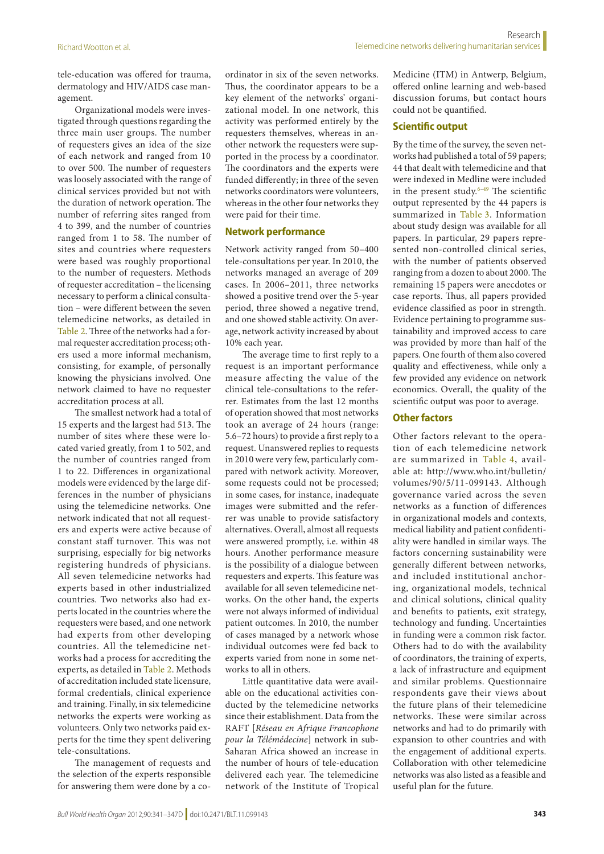tele-education was offered for trauma, dermatology and HIV/AIDS case management.

Organizational models were investigated through questions regarding the three main user groups. The number of requesters gives an idea of the size of each network and ranged from 10 to over 500. The number of requesters was loosely associated with the range of clinical services provided but not with the duration of network operation. The number of referring sites ranged from 4 to 399, and the number of countries ranged from 1 to 58. The number of sites and countries where requesters were based was roughly proportional to the number of requesters. Methods of requester accreditation – the licensing necessary to perform a clinical consultation – were different between the seven telemedicine networks, as detailed in [Table](#page-7-0) 2. Three of the networks had a formal requester accreditation process; others used a more informal mechanism, consisting, for example, of personally knowing the physicians involved. One network claimed to have no requester accreditation process at all.

The smallest network had a total of 15 experts and the largest had 513. The number of sites where these were located varied greatly, from 1 to 502, and the number of countries ranged from 1 to 22. Differences in organizational models were evidenced by the large differences in the number of physicians using the telemedicine networks. One network indicated that not all requesters and experts were active because of constant staff turnover. This was not surprising, especially for big networks registering hundreds of physicians. All seven telemedicine networks had experts based in other industrialized countries. Two networks also had experts located in the countries where the requesters were based, and one network had experts from other developing countries. All the telemedicine networks had a process for accrediting the experts, as detailed in [Table](#page-7-0) 2. Methods of accreditation included state licensure, formal credentials, clinical experience and training. Finally, in six telemedicine networks the experts were working as volunteers. Only two networks paid experts for the time they spent delivering tele-consultations.

The management of requests and the selection of the experts responsible for answering them were done by a coordinator in six of the seven networks. Thus, the coordinator appears to be a key element of the networks' organizational model. In one network, this activity was performed entirely by the requesters themselves, whereas in another network the requesters were supported in the process by a coordinator. The coordinators and the experts were funded differently; in three of the seven networks coordinators were volunteers, whereas in the other four networks they were paid for their time.

### **Network performance**

Network activity ranged from 50–400 tele-consultations per year. In 2010, the networks managed an average of 209 cases. In 2006–2011, three networks showed a positive trend over the 5-year period, three showed a negative trend, and one showed stable activity. On average, network activity increased by about 10% each year.

The average time to first reply to a request is an important performance measure affecting the value of the clinical tele-consultations to the referrer. Estimates from the last 12 months of operation showed that most networks took an average of 24 hours (range: 5.6–72 hours) to provide a first reply to a request. Unanswered replies to requests in 2010 were very few, particularly compared with network activity. Moreover, some requests could not be processed; in some cases, for instance, inadequate images were submitted and the referrer was unable to provide satisfactory alternatives. Overall, almost all requests were answered promptly, i.e. within 48 hours. Another performance measure is the possibility of a dialogue between requesters and experts. This feature was available for all seven telemedicine networks. On the other hand, the experts were not always informed of individual patient outcomes. In 2010, the number of cases managed by a network whose individual outcomes were fed back to experts varied from none in some networks to all in others.

Little quantitative data were available on the educational activities conducted by the telemedicine networks since their establishment. Data from the RAFT [*Réseau en Afrique Francophone pour la Télémédecine*] network in sub-Saharan Africa showed an increase in the number of hours of tele-education delivered each year. The telemedicine network of the Institute of Tropical

Medicine (ITM) in Antwerp, Belgium, offered online learning and web-based discussion forums, but contact hours could not be quantified.

### **Scientific output**

By the time of the survey, the seven networks had published a total of 59 papers; 44 that dealt with telemedicine and that were indexed in Medline were included in the present study. $6-49$  The scientific output represented by the 44 papers is summarized in [Table](#page-3-0) 3. Information about study design was available for all papers. In particular, 29 papers represented non-controlled clinical series, with the number of patients observed ranging from a dozen to about 2000. The remaining 15 papers were anecdotes or case reports. Thus, all papers provided evidence classified as poor in strength. Evidence pertaining to programme sustainability and improved access to care was provided by more than half of the papers. One fourth of them also covered quality and effectiveness, while only a few provided any evidence on network economics. Overall, the quality of the scientific output was poor to average.

### **Other factors**

Other factors relevant to the operation of each telemedicine network are summarized in [Table](#page-9-0) 4, available at: [http://www.who.int/bulletin/](http://www.who.int/bulletin/volumes/90/5/11-099143) [volumes/90/5/11-099143.](http://www.who.int/bulletin/volumes/90/5/11-099143) Although governance varied across the seven networks as a function of differences in organizational models and contexts, medical liability and patient confidentiality were handled in similar ways. The factors concerning sustainability were generally different between networks, and included institutional anchoring, organizational models, technical and clinical solutions, clinical quality and benefits to patients, exit strategy, technology and funding. Uncertainties in funding were a common risk factor. Others had to do with the availability of coordinators, the training of experts, a lack of infrastructure and equipment and similar problems. Questionnaire respondents gave their views about the future plans of their telemedicine networks. These were similar across networks and had to do primarily with expansion to other countries and with the engagement of additional experts. Collaboration with other telemedicine networks was also listed as a feasible and useful plan for the future.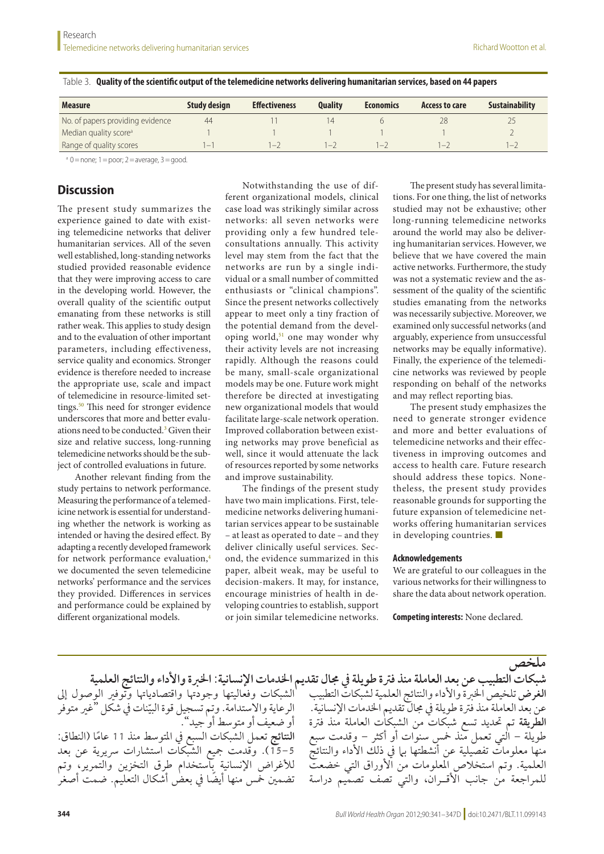<span id="page-3-0"></span>

|  | <code>Table</code> 3. $\,$ Quality of the scientific output of the telemedicine networks delivering humanitarian services, based on 44 papers |  |
|--|-----------------------------------------------------------------------------------------------------------------------------------------------|--|
|  |                                                                                                                                               |  |

| <b>Measure</b>                    | Study design             | <b>Effectiveness</b>     | <b>Quality</b> | <b>Economics</b> | Access to care | <b>Sustainability</b> |
|-----------------------------------|--------------------------|--------------------------|----------------|------------------|----------------|-----------------------|
| No. of papers providing evidence  | 44                       |                          |                |                  |                |                       |
| Median quality score <sup>a</sup> |                          |                          |                |                  |                |                       |
| Range of quality scores           | $\overline{\phantom{m}}$ | $\overline{\phantom{0}}$ | i — .          | $=$              | $-1$           | $-2$                  |

 $a<sup>a</sup>$  0 = none; 1 = poor; 2 = average, 3 = good.

# **Discussion**

The present study summarizes the experience gained to date with existing telemedicine networks that deliver humanitarian services. All of the seven well established, long-standing networks studied provided reasonable evidence that they were improving access to care in the developing world. However, the overall quality of the scientific output emanating from these networks is still rather weak. This applies to study design and to the evaluation of other important parameters, including effectiveness, service quality and economics. Stronger evidence is therefore needed to increase the appropriate use, scale and impact of telemedicine in resource-limited settings.<sup>50</sup> This need for stronger evidence underscores that more and better evaluations need to be conducted.<sup>3</sup> Given their size and relative success, long-running telemedicine networks should be the subject of controlled evaluations in future.

Another relevant finding from the study pertains to network performance. Measuring the performance of a telemedicine network is essential for understanding whether the network is working as intended or having the desired effect. By adapting a recently developed framework for network performance evaluation,<sup>4</sup> we documented the seven telemedicine networks' performance and the services they provided. Differences in services and performance could be explained by different organizational models.

Notwithstanding the use of different organizational models, clinical case load was strikingly similar across networks: all seven networks were providing only a few hundred teleconsultations annually. This activity level may stem from the fact that the networks are run by a single individual or a small number of committed enthusiasts or "clinical champions". Since the present networks collectively appear to meet only a tiny fraction of the potential demand from the developing world, $51$  one may wonder why their activity levels are not increasing rapidly. Although the reasons could be many, small-scale organizational models may be one. Future work might therefore be directed at investigating new organizational models that would facilitate large-scale network operation. Improved collaboration between existing networks may prove beneficial as well, since it would attenuate the lack of resources reported by some networks and improve sustainability.

The findings of the present study have two main implications. First, telemedicine networks delivering humanitarian services appear to be sustainable – at least as operated to date – and they deliver clinically useful services. Second, the evidence summarized in this paper, albeit weak, may be useful to decision-makers. It may, for instance, encourage ministries of health in developing countries to establish, support or join similar telemedicine networks.

The present study has several limitations. For one thing, the list of networks studied may not be exhaustive; other long-running telemedicine networks around the world may also be delivering humanitarian services. However, we believe that we have covered the main active networks. Furthermore, the study was not a systematic review and the assessment of the quality of the scientific studies emanating from the networks was necessarily subjective. Moreover, we examined only successful networks (and arguably, experience from unsuccessful networks may be equally informative). Finally, the experience of the telemedicine networks was reviewed by people responding on behalf of the networks and may reflect reporting bias.

The present study emphasizes the need to generate stronger evidence and more and better evaluations of telemedicine networks and their effectiveness in improving outcomes and access to health care. Future research should address these topics. Nonetheless, the present study provides reasonable grounds for supporting the future expansion of telemedicine networks offering humanitarian services in developing countries. ■

#### **Acknowledgements**

We are grateful to our colleagues in the various networks for their willingness to share the data about network operation.

**Competing interests:** None declared.

الشبكات وفعاليتها وجودتها واقتصادياتها وتوفير الوصول إلى الرعاية والإستدامة. وتم تسجيل قوة البيّنات في شكل "غير متوفر<br>أ أو ضعيف أو متوسط أو جيد". **النتائج** تعمل الشبكات السبع يف املتوسط منذ 11 ًعاما )النطاق: 5–15). وقدمت جميع الشبكات استشارات سريرية عن بعد لألغراض اإلنسانية باستخدام طرق التخزين والتمرير، وتم تضمني مخس منها ً أيضا يف بعض أشكال التعليم. ضمت أصغر

**ملخص شبكات التطبيب عن بعد العاملة منذ فرتة طويلة يف جمال تقديم اخلدمات اإلنسانية: اخلربة واألداء والنتائج العلمية الغرض** تلخيص اخلربة واألداء والنتائج العلمية لشبكات التطبيب عن بعد العاملة منذ فترة طويلة في مجال تقديم الخدمات الإنسانية. **الطريقة** تم حتديد تسع شبكات من الشبكات العاملة منذ فرتة طويلة – التي تعمل منذ مخس سنوات أو أكثر – وقدمت سبع منها معلومات تفصيلية عن أنشطتها بام يف ذلك األداء والنتائج العلمية. وتم استخالص املعلومات من األوراق التي خضعت للمراجعة من جانب الأقــران، والتي تصف تصميم دراسة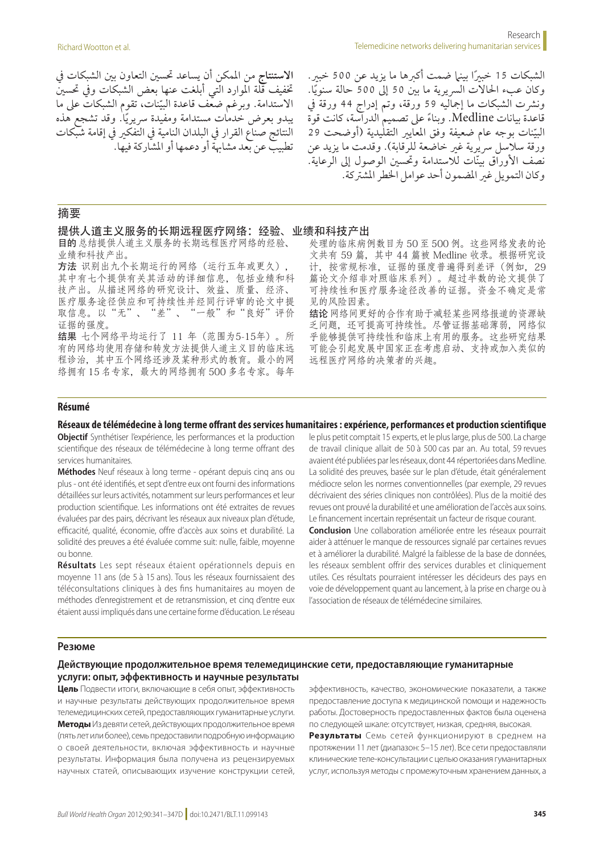**االستنتاج** من املمكن أن يساعد حتسني التعاون بني الشبكات يف ختفيف قلة املوارد التي أبلغت عنها بعض الشبكات ويف حتسني الاستدامة. وبرغم ضعف قاعدة البيّنات، تقوم الشبكات على ما<br>مستدامة. يبدو بعرض خدمات مستدامة ومفيدة سريريًا. وقد تشجع هذه النتائج صناع القرار يف البلدان النامية يف التفكري يف إقامة شبكات تطبيب عن بعد مشاهبة أو دعمها أو املشاركة فيها.

الشبكات 15 خبرًا بينا ضمت أكبرها ما يزيد عن 500 خبر . وكان عبء الحالات السريرية ما بين 50 إلى 500 حالة سنويًا. ونشرت الشبكات ما إجماليه 59 ورقة، وتم إدراج 44 ورقة في قاعدة بيانات Medline. ً وبناء عىل تصميم الدراسة، كانت قوة ّنات بوجه عام ضعيفة وفق املعايري التقليدية )أوضحت 29 البي ورقة سلاسل سريرية غير خاضعة للرقابة). وقدمت ما يزيد عن نصف الأوراق بينّات للاستدامة وتحسين الوصول إلى الرعاية. وكان التمويل غري املضمون أحد عوامل اخلطر املشرتكة.

# 摘要

提供人道主义服务的长期远程医疗网络: 经验、业绩和科技产出 目的 总结提供人道主义服务的长期远程医疗网络的经验、 业绩和科技产出。

方法 识别出九个长期运行的网络(运行五年或更久), 其中有七个提供有关其活动的详细信息,包括业绩和科 技产出。从描述网络的研究设计、效益、质量、经济、 医疗服务途径供应和可持续性并经同行评审的论文中提 取信息。以"无"、"差"、"一般"和"良好"评价 证据的强度。

结果 七个网络平均运行了 11 年(范围为5-15年)。所 有的网络均使用存储和转发方法提供人道主义目的临床远 程诊治,其中五个网络还涉及某种形式的教育。最小的网 络拥有 15 名专家,最大的网络拥有 500 多名专家。每年

处理的临床病例数目为 50 至 500 例。这些网络发表的论 文共有 59 篇, 其中 44 篇被 Medline 收录。根据研究设 计,按常规标准,证据的强度普遍得到差评(例如,29 篇论文介绍非对照临床系列)。超过半数的论文提供了 可持续性和医疗服务途径改善的证据。资金不确定是常 见的风险因素。

结论 网络间更好的合作有助于减轻某些网络报道的资源缺 乏问题,还可提高可持续性。尽管证据基础薄弱,网络似 乎能够提供可持续性和临床上有用的服务。这些研究结果 可能会引起发展中国家正在考虑启动、支持或加入类似的 远程医疗网络的决策者的兴趣。

### **Résumé**

#### **Réseaux de télémédecine à long terme offrant des services humanitaires: expérience, performances et production scientifique**

**Objectif** Synthétiser l'expérience, les performances et la production scientifique des réseaux de télémédecine à long terme offrant des services humanitaires.

**Méthodes** Neuf réseaux à long terme - opérant depuis cinq ans ou plus - ont été identifiés, et sept d'entre eux ont fourni des informations détaillées sur leurs activités, notamment sur leurs performances et leur production scientifique. Les informations ont été extraites de revues évaluées par des pairs, décrivant les réseaux aux niveaux plan d'étude, efficacité, qualité, économie, offre d'accès aux soins et durabilité. La solidité des preuves a été évaluée comme suit: nulle, faible, moyenne ou bonne.

**Résultats** Les sept réseaux étaient opérationnels depuis en moyenne 11 ans (de 5 à 15 ans). Tous les réseaux fournissaient des téléconsultations cliniques à des fins humanitaires au moyen de méthodes d'enregistrement et de retransmission, et cinq d'entre eux étaient aussi impliqués dans une certaine forme d'éducation. Le réseau

le plus petit comptait 15 experts, et le plus large, plus de 500. La charge de travail clinique allait de 50 à 500 cas par an. Au total, 59 revues avaient été publiées par les réseaux, dont 44 répertoriées dans Medline. La solidité des preuves, basée sur le plan d'étude, était généralement médiocre selon les normes conventionnelles (par exemple, 29 revues décrivaient des séries cliniques non contrôlées). Plus de la moitié des revues ont prouvé la durabilité et une amélioration de l'accès aux soins. Le financement incertain représentait un facteur de risque courant.

**Conclusion** Une collaboration améliorée entre les réseaux pourrait aider à atténuer le manque de ressources signalé par certaines revues et à améliorer la durabilité. Malgré la faiblesse de la base de données, les réseaux semblent offrir des services durables et cliniquement utiles. Ces résultats pourraient intéresser les décideurs des pays en voie de développement quant au lancement, à la prise en charge ou à l'association de réseaux de télémédecine similaires.

### **Резюме**

### **Действующие продолжительное время телемедицинские сети, предоставляющие гуманитарные услуги: опыт, эффективность и научные результаты**

**Цель** Подвести итоги, включающие в себя опыт, эффективность и научные результаты действующих продолжительное время телемедицинских сетей, предоставляющих гуманитарные услуги. **Методы** Из девяти сетей, действующих продолжительное время (пять лет или более), семь предоставили подробную информацию о своей деятельности, включая эффективность и научные результаты. Информация была получена из рецензируемых научных статей, описывающих изучение конструкции сетей, эффективность, качество, экономические показатели, а также предоставление доступа к медицинской помощи и надежность работы. Достоверность предоставленных фактов была оценена по следующей шкале: отсутствует, низкая, средняя, высокая.

**Результаты** Семь сетей функционируют в среднем на протяжении 11 лет (диапазон: 5–15 лет). Все сети предоставляли клинические теле-консультации с целью оказания гуманитарных услуг, используя методы с промежуточным хранением данных, а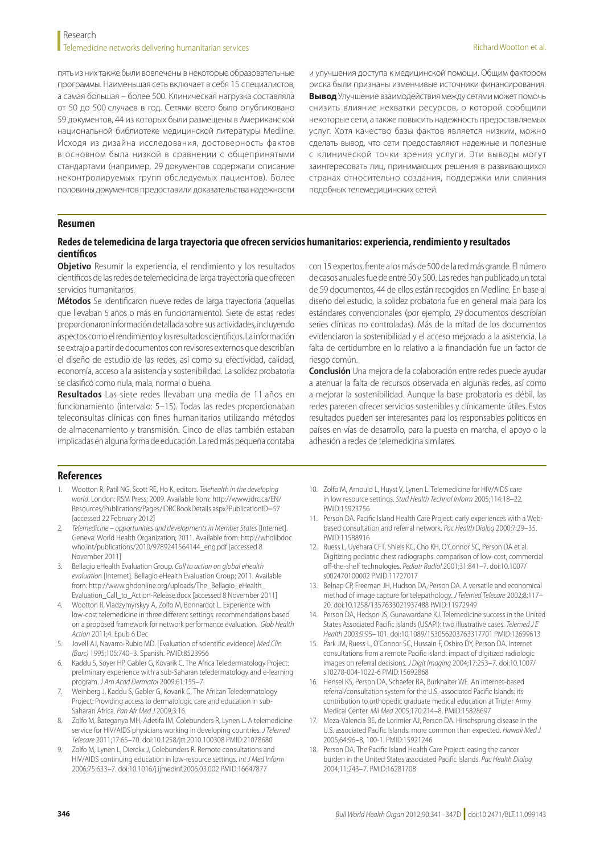пять из них также были вовлечены в некоторые образовательные программы. Наименьшая сеть включает в себя 15 специалистов, а самая большая – более 500. Клиническая нагрузка составляла от 50 до 500 случаев в год. Сетями всего было опубликовано 59 документов, 44 из которых были размещены в Американской национальной библиотеке медицинской литературы Medline. Исходя из дизайна исследования, достоверность фактов в основном была низкой в сравнении с общепринятыми стандартами (например, 29 документов содержали описание неконтролируемых групп обследуемых пациентов). Более половины документов предоставили доказательства надежности

и улучшения доступа к медицинской помощи. Общим фактором риска были признаны изменчивые источники финансирования. **Вывод** Улучшение взаимодействия между сетями может помочь снизить влияние нехватки ресурсов, о которой сообщили некоторые сети, а также повысить надежность предоставляемых услуг. Хотя качество базы фактов является низким, можно сделать вывод, что сети предоставляют надежные и полезные с клинической точки зрения услуги. Эти выводы могут заинтересовать лиц, принимающих решения в развивающихся странах относительно создания, поддержки или слияния подобных телемедицинских сетей.

### **Resumen**

### **Redes de telemedicina de larga trayectoria que ofrecen servicios humanitarios: experiencia, rendimiento y resultados científicos**

**Objetivo** Resumir la experiencia, el rendimiento y los resultados científicos de las redes de telemedicina de larga trayectoria que ofrecen servicios humanitarios.

**Métodos** Se identificaron nueve redes de larga trayectoria (aquellas que llevaban 5 años o más en funcionamiento). Siete de estas redes proporcionaron información detallada sobre sus actividades, incluyendo aspectos como el rendimiento y los resultados científicos. La información se extrajo a partir de documentos con revisores externos que describían el diseño de estudio de las redes, así como su efectividad, calidad, economía, acceso a la asistencia y sostenibilidad. La solidez probatoria se clasificó como nula, mala, normal o buena.

**Resultados** Las siete redes llevaban una media de 11 años en funcionamiento (intervalo: 5–15). Todas las redes proporcionaban teleconsultas clínicas con fines humanitarios utilizando métodos de almacenamiento y transmisión. Cinco de ellas también estaban implicadas en alguna forma de educación. La red más pequeña contaba

con 15 expertos, frente a los más de 500 de la red más grande. El número de casos anuales fue de entre 50 y 500. Las redes han publicado un total de 59 documentos, 44 de ellos están recogidos en Medline. En base al diseño del estudio, la solidez probatoria fue en general mala para los estándares convencionales (por ejemplo, 29 documentos describían series clínicas no controladas). Más de la mitad de los documentos evidenciaron la sostenibilidad y el acceso mejorado a la asistencia. La falta de certidumbre en lo relativo a la financiación fue un factor de riesgo común.

**Conclusión** Una mejora de la colaboración entre redes puede ayudar a atenuar la falta de recursos observada en algunas redes, así como a mejorar la sostenibilidad. Aunque la base probatoria es débil, las redes parecen ofrecer servicios sostenibles y clínicamente útiles. Estos resultados pueden ser interesantes para los responsables políticos en países en vías de desarrollo, para la puesta en marcha, el apoyo o la adhesión a redes de telemedicina similares.

### **References**

- 1. Wootton R, Patil NG, Scott RE, Ho K, editors. *Telehealth in the developing world*. London: RSM Press; 2009. Available from: [http://www.idrc.ca/EN/](http://www.idrc.ca/EN/Resources/Publications/Pages/IDRCBookDetails.aspx?PublicationID=57) [Resources/Publications/Pages/IDRCBookDetails.aspx?PublicationID=57](http://www.idrc.ca/EN/Resources/Publications/Pages/IDRCBookDetails.aspx?PublicationID=57) [accessed 22 February 2012]
- 2. *Telemedicine opportunities and developments in Member States* [Internet]. Geneva: World Health Organization; 2011. Available from: [http://whqlibdoc.](http://whqlibdoc.who.int/publications/2010/9789241564144_eng.pdf) [who.int/publications/2010/9789241564144\\_eng.pdf](http://whqlibdoc.who.int/publications/2010/9789241564144_eng.pdf) [accessed 8 November 2011]
- 3. Bellagio eHealth Evaluation Group. *Call to action on global eHealth evaluation* [Internet]. Bellagio eHealth Evaluation Group; 2011. Available from: [http://www.ghdonline.org/uploads/The\\_Bellagio\\_eHealth\\_](http://www.ghdonline.org/uploads/The_Bellagio_eHealth_Evaluation_Call_to_Action-Release.docx) [Evaluation\\_Call\\_to\\_Action-Release.docx](http://www.ghdonline.org/uploads/The_Bellagio_eHealth_Evaluation_Call_to_Action-Release.docx) [accessed 8 November 2011]
- 4. Wootton R, Vladzymyrskyy A, Zolfo M, Bonnardot L. Experience with low-cost telemedicine in three different settings: recommendations based on a proposed framework for network performance evaluation. *Glob Health Action* 2011;4. Epub 6 Dec
- 5. Jovell AJ, Navarro-Rubio MD. [Evaluation of scientific evidence] *Med Clin (Barc)* 1995;105:740–3. Spanish. PMID:[8523956](http://www.ncbi.nlm.nih.gov/pubmed/8523956)
- 6. Kaddu S, Soyer HP, Gabler G, Kovarik C. The Africa Teledermatology Project: preliminary experience with a sub-Saharan teledermatology and e-learning program. *J Am Acad Dermatol* 2009;61:155–7.
- 7. Weinberg J, Kaddu S, Gabler G, Kovarik C. The African Teledermatology Project: Providing access to dermatologic care and education in sub-Saharan Africa. *Pan Afr Med J* 2009;3:16.
- 8. Zolfo M, Bateganya MH, Adetifa IM, Colebunders R, Lynen L. A telemedicine service for HIV/AIDS physicians working in developing countries. *J Telemed Telecare* 2011;17:65–70. doi[:10.1258/jtt.2010.100308](http://dx.doi.org/10.1258/jtt.2010.100308) PMID:[21078680](http://www.ncbi.nlm.nih.gov/pubmed/21078680)
- Zolfo M, Lynen L, Dierckx J, Colebunders R. Remote consultations and HIV/AIDS continuing education in low-resource settings. *Int J Med Inform* 2006;75:633–7. doi[:10.1016/j.ijmedinf.2006.03.002](http://dx.doi.org/10.1016/j.ijmedinf.2006.03.002) PMID[:16647877](http://www.ncbi.nlm.nih.gov/pubmed/16647877)
- 10. Zolfo M, Arnould L, Huyst V, Lynen L. Telemedicine for HIV/AIDS care in low resource settings. *Stud Health Technol Inform* 2005;114:18–22. PMID:[15923756](http://www.ncbi.nlm.nih.gov/pubmed/15923756)
- 11. Person DA. Pacific Island Health Care Project: early experiences with a Webbased consultation and referral network. *Pac Health Dialog* 2000;7:29–35. PMID:[11588916](http://www.ncbi.nlm.nih.gov/pubmed/11588916)
- 12. Ruess L, Uyehara CFT, Shiels KC, Cho KH, O'Connor SC, Person DA et al. Digitizing pediatric chest radiographs: comparison of low-cost, commercial off-the-shelf technologies. *Pediatr Radiol* 2001;31:841–7. doi:[10.1007/](http://dx.doi.org/10.1007/s002470100002) [s002470100002](http://dx.doi.org/10.1007/s002470100002) PMID[:11727017](http://www.ncbi.nlm.nih.gov/pubmed/11727017)
- 13. Belnap CP, Freeman JH, Hudson DA, Person DA. A versatile and economical method of image capture for telepathology. *J Telemed Telecare* 2002;8:117– 20. doi:[10.1258/1357633021937488](http://dx.doi.org/10.1258/1357633021937488) PMID[:11972949](http://www.ncbi.nlm.nih.gov/pubmed/11972949)
- 14. Person DA, Hedson JS, Gunawardane KJ. Telemedicine success in the United States Associated Pacific Islands (USAPI): two illustrative cases. *Telemed J E Health* 2003;9:95–101. doi[:10.1089/153056203763317701](http://dx.doi.org/10.1089/153056203763317701) PMID[:12699613](http://www.ncbi.nlm.nih.gov/pubmed/12699613)
- 15. Park JM, Ruess L, O'Connor SC, Hussain F, Oshiro DY, Person DA. Internet consultations from a remote Pacific island: impact of digitized radiologic images on referral decisions. *J Digit Imaging* 2004;17:253–7. doi:[10.1007/](http://dx.doi.org/10.1007/s10278-004-1022-6) [s10278-004-1022-6](http://dx.doi.org/10.1007/s10278-004-1022-6) PMID:[15692868](http://www.ncbi.nlm.nih.gov/pubmed/15692868)
- 16. Hensel KS, Person DA, Schaefer RA, Burkhalter WE. An internet-based referral/consultation system for the U.S.-associated Pacific Islands: its contribution to orthopedic graduate medical education at Tripler Army Medical Center. *Mil Med* 2005;170:214–8. PMID[:15828697](http://www.ncbi.nlm.nih.gov/pubmed/15828697)
- 17. Meza-Valencia BE, de Lorimier AJ, Person DA. Hirschsprung disease in the U.S. associated Pacific Islands: more common than expected. *Hawaii Med J* 2005;64:96–8, 100-1. PMID:[15921246](http://www.ncbi.nlm.nih.gov/pubmed/15921246)
- 18. Person DA. The Pacific Island Health Care Project: easing the cancer burden in the United States associated Pacific Islands. *Pac Health Dialog* 2004;11:243–7. PMID:[16281708](http://www.ncbi.nlm.nih.gov/pubmed/16281708)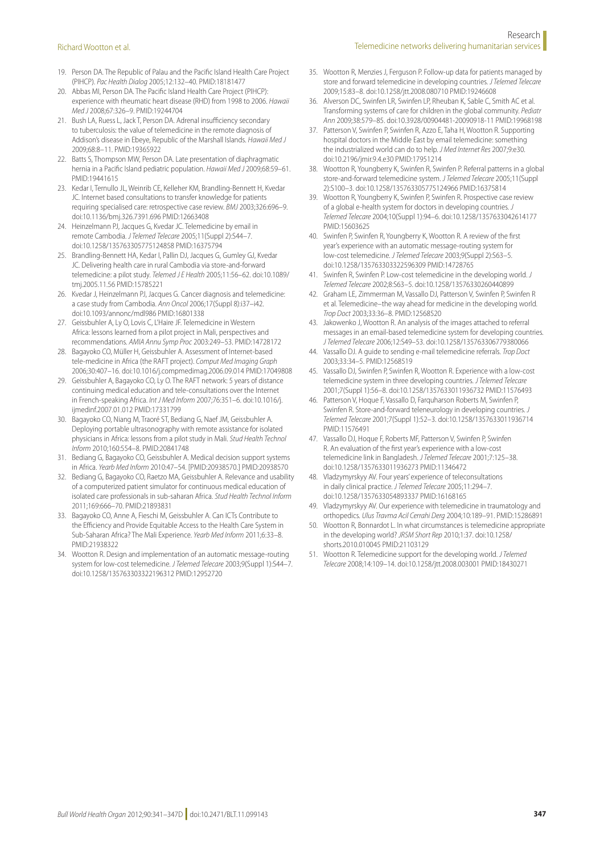- 19. Person DA. The Republic of Palau and the Pacific Island Health Care Project (PIHCP). *Pac Health Dialog* 2005;12:132–40. PMID[:18181477](http://www.ncbi.nlm.nih.gov/pubmed/18181477)
- 20. Abbas MI, Person DA. The Pacific Island Health Care Project (PIHCP): experience with rheumatic heart disease (RHD) from 1998 to 2006. *Hawaii Med J* 2008;67:326–9. PMID[:19244704](http://www.ncbi.nlm.nih.gov/pubmed/19244704)
- 21. Bush LA, Ruess L, Jack T, Person DA. Adrenal insufficiency secondary to tuberculosis: the value of telemedicine in the remote diagnosis of Addison's disease in Ebeye, Republic of the Marshall Islands. *Hawaii Med J* 2009;68:8–11. PMID:[19365922](http://www.ncbi.nlm.nih.gov/pubmed/19365922)
- 22. Batts S, Thompson MW, Person DA. Late presentation of diaphragmatic hernia in a Pacific Island pediatric population. *Hawaii Med J* 2009;68:59–61. PMID:[19441615](http://www.ncbi.nlm.nih.gov/pubmed/19441615)
- 23. Kedar I, Ternullo JL, Weinrib CE, Kelleher KM, Brandling-Bennett H, Kvedar JC. Internet based consultations to transfer knowledge for patients requiring specialised care: retrospective case review. *BMJ* 2003;326:696–9. doi:[10.1136/bmj.326.7391.696](http://dx.doi.org/10.1136/bmj.326.7391.696) PMID[:12663408](http://www.ncbi.nlm.nih.gov/pubmed/12663408)
- 24. Heinzelmann PJ, Jacques G, Kvedar JC. Telemedicine by email in remote Cambodia. *J Telemed Telecare* 2005;11(Suppl 2):S44–7. doi:[10.1258/135763305775124858](http://dx.doi.org/10.1258/135763305775124858) PMID[:16375794](http://www.ncbi.nlm.nih.gov/pubmed/16375794)
- 25. Brandling-Bennett HA, Kedar I, Pallin DJ, Jacques G, Gumley GJ, Kvedar JC. Delivering health care in rural Cambodia via store-and-forward telemedicine: a pilot study. *Telemed J E Health* 2005;11:56–62. doi:[10.1089/](http://dx.doi.org/10.1089/tmj.2005.11.56) [tmj.2005.11.56](http://dx.doi.org/10.1089/tmj.2005.11.56) PMID[:15785221](http://www.ncbi.nlm.nih.gov/pubmed/15785221)
- 26. Kvedar J, Heinzelmann PJ, Jacques G. Cancer diagnosis and telemedicine: a case study from Cambodia. *Ann Oncol* 2006;17(Suppl 8):i37–i42. doi:[10.1093/annonc/mdl986](http://dx.doi.org/10.1093/annonc/mdl986) PMID:[16801338](http://www.ncbi.nlm.nih.gov/pubmed/16801338)
- 27. Geissbuhler A, Ly O, Lovis C, L'Haire JF. Telemedicine in Western Africa: lessons learned from a pilot project in Mali, perspectives and recommendations. *AMIA Annu Symp Proc* 2003:249–53. PMID:[14728172](http://www.ncbi.nlm.nih.gov/pubmed/14728172)
- 28. Bagayoko CO, Müller H, Geissbuhler A. Assessment of Internet-based tele-medicine in Africa (the RAFT project). *Comput Med Imaging Graph* 2006;30:407–16. doi:[10.1016/j.compmedimag.2006.09.014](http://dx.doi.org/10.1016/j.compmedimag.2006.09.014) PMID[:17049808](http://www.ncbi.nlm.nih.gov/pubmed/17049808)
- 29. Geissbuhler A, Bagayoko CO, Ly O. The RAFT network: 5 years of distance continuing medical education and tele-consultations over the Internet in French-speaking Africa. *Int J Med Inform* 2007;76:351–6. doi[:10.1016/j.](http://dx.doi.org/10.1016/j.ijmedinf.2007.01.012) [ijmedinf.2007.01.012](http://dx.doi.org/10.1016/j.ijmedinf.2007.01.012) PMID:[17331799](http://www.ncbi.nlm.nih.gov/pubmed/17331799)
- 30. Bagayoko CO, Niang M, Traoré ST, Bediang G, Naef JM, Geissbuhler A. Deploying portable ultrasonography with remote assistance for isolated physicians in Africa: lessons from a pilot study in Mali. *Stud Health Technol Inform* 2010;160:554–8. PMID[:20841748](http://www.ncbi.nlm.nih.gov/pubmed/20841748)
- 31. Bediang G, Bagayoko CO, Geissbuhler A. Medical decision support systems in Africa. *Yearb Med Inform* 2010:47–54. [PMID:20938570.] PMID[:20938570](http://www.ncbi.nlm.nih.gov/pubmed/20938570)
- 32. Bediang G, Bagayoko CO, Raetzo MA, Geissbuhler A. Relevance and usability of a computerized patient simulator for continuous medical education of isolated care professionals in sub-saharan Africa. *Stud Health Technol Inform* 2011;169:666–70. PMID:[21893831](http://www.ncbi.nlm.nih.gov/pubmed/21893831)
- 33. Bagayoko CO, Anne A, Fieschi M, Geissbuhler A. Can ICTs Contribute to the Efficiency and Provide Equitable Access to the Health Care System in Sub-Saharan Africa? The Mali Experience. *Yearb Med Inform* 2011;6:33–8. PMID:[21938322](http://www.ncbi.nlm.nih.gov/pubmed/21938322)
- 34. Wootton R. Design and implementation of an automatic message-routing system for low-cost telemedicine. *J Telemed Telecare* 2003;9(Suppl 1):S44–7. doi:[10.1258/135763303322196312](http://dx.doi.org/10.1258/135763303322196312) PMID[:12952720](http://www.ncbi.nlm.nih.gov/pubmed/12952720)
- 35. Wootton R, Menzies J, Ferguson P. Follow-up data for patients managed by store and forward telemedicine in developing countries. *J Telemed Telecare* 2009;15:83–8. doi:[10.1258/jtt.2008.080710](http://dx.doi.org/10.1258/jtt.2008.080710) PMID:[19246608](http://www.ncbi.nlm.nih.gov/pubmed/19246608)
- 36. Alverson DC, Swinfen LR, Swinfen LP, Rheuban K, Sable C, Smith AC et al. Transforming systems of care for children in the global community. *Pediatr Ann* 2009;38:579–85. doi[:10.3928/00904481-20090918-11](http://dx.doi.org/10.3928/00904481-20090918-11) PMID:[19968198](http://www.ncbi.nlm.nih.gov/pubmed/19968198)
- 37. Patterson V, Swinfen P, Swinfen R, Azzo E, Taha H, Wootton R. Supporting hospital doctors in the Middle East by email telemedicine: something the industrialized world can do to help. *J Med Internet Res* 2007;9:e30. doi:[10.2196/jmir.9.4.e30](http://dx.doi.org/10.2196/jmir.9.4.e30) PMID:[17951214](http://www.ncbi.nlm.nih.gov/pubmed/17951214)
- 38. Wootton R, Youngberry K, Swinfen R, Swinfen P. Referral patterns in a global store-and-forward telemedicine system. *J Telemed Telecare* 2005;11(Suppl 2):S100–3. doi[:10.1258/135763305775124966](http://dx.doi.org/10.1258/135763305775124966) PMID[:16375814](http://www.ncbi.nlm.nih.gov/pubmed/16375814)
- 39. Wootton R, Youngberry K, Swinfen P, Swinfen R. Prospective case review of a global e-health system for doctors in developing countries. *J Telemed Telecare* 2004;10(Suppl 1):94–6. doi[:10.1258/1357633042614177](http://dx.doi.org/10.1258/1357633042614177) PMID:[15603625](http://www.ncbi.nlm.nih.gov/pubmed/15603625)
- 40. Swinfen P, Swinfen R, Youngberry K, Wootton R. A review of the first year's experience with an automatic message-routing system for low-cost telemedicine. *J Telemed Telecare* 2003;9(Suppl 2):S63–5. doi:[10.1258/135763303322596309](http://dx.doi.org/10.1258/135763303322596309) PMID[:14728765](http://www.ncbi.nlm.nih.gov/pubmed/14728765)
- 41. Swinfen R, Swinfen P. Low-cost telemedicine in the developing world. *J Telemed Telecare* 2002;8:S63–5. doi:[10.1258/13576330260440899](http://dx.doi.org/10.1258/13576330260440899)
- 42. Graham LE, Zimmerman M, Vassallo DJ, Patterson V, Swinfen P, Swinfen R et al. Telemedicine–the way ahead for medicine in the developing world. *Trop Doct* 2003;33:36–8. PMID[:12568520](http://www.ncbi.nlm.nih.gov/pubmed/12568520)
- 43. Jakowenko J, Wootton R. An analysis of the images attached to referral messages in an email-based telemedicine system for developing countries. *J Telemed Telecare* 2006;12:S49–53. doi:[10.1258/135763306779380066](http://dx.doi.org/10.1258/135763306779380066)
- 44. Vassallo DJ. A guide to sending e-mail telemedicine referrals. *Trop Doct* 2003;33:34–5. PMID:[12568519](http://www.ncbi.nlm.nih.gov/pubmed/12568519)
- 45. Vassallo DJ, Swinfen P, Swinfen R, Wootton R. Experience with a low-cost telemedicine system in three developing countries. *J Telemed Telecare* 2001;7(Suppl 1):56–8. doi[:10.1258/1357633011936732](http://dx.doi.org/10.1258/1357633011936732) PMID:[11576493](http://www.ncbi.nlm.nih.gov/pubmed/11576493)
- 46. Patterson V, Hoque F, Vassallo D, Farquharson Roberts M, Swinfen P, Swinfen R. Store-and-forward teleneurology in developing countries. *J Telemed Telecare* 2001;7(Suppl 1):52–3. doi:[10.1258/1357633011936714](http://dx.doi.org/10.1258/1357633011936714) PMID:[11576491](http://www.ncbi.nlm.nih.gov/pubmed/11576491)
- 47. Vassallo DJ, Hoque F, Roberts MF, Patterson V, Swinfen P, Swinfen R. An evaluation of the first year's experience with a low-cost telemedicine link in Bangladesh. *J Telemed Telecare* 2001;7:125–38. doi:[10.1258/1357633011936273](http://dx.doi.org/10.1258/1357633011936273) PMID[:11346472](http://www.ncbi.nlm.nih.gov/pubmed/11346472)
- 48. Vladzymyrskyy AV. Four years' experience of teleconsultations in daily clinical practice. *J Telemed Telecare* 2005;11:294–7. doi:[10.1258/1357633054893337](http://dx.doi.org/10.1258/1357633054893337) PMID[:16168165](http://www.ncbi.nlm.nih.gov/pubmed/16168165)
- 49. Vladzymyrskyy AV. Our experience with telemedicine in traumatology and orthopedics. *Ulus Travma Acil Cerrahi Derg* 2004;10:189–91. PMID:[15286891](http://www.ncbi.nlm.nih.gov/pubmed/15286891)
- 50. Wootton R, Bonnardot L. In what circumstances is telemedicine appropriate in the developing world? *JRSM Short Rep* 2010;1:37. doi[:10.1258/](http://dx.doi.org/10.1258/shorts.2010.010045) [shorts.2010.010045](http://dx.doi.org/10.1258/shorts.2010.010045) PMID:[21103129](http://www.ncbi.nlm.nih.gov/pubmed/21103129)
- 51. Wootton R. Telemedicine support for the developing world. *J Telemed Telecare* 2008;14:109–14. doi:[10.1258/jtt.2008.003001](http://dx.doi.org/10.1258/jtt.2008.003001) PMID:[18430271](http://www.ncbi.nlm.nih.gov/pubmed/18430271)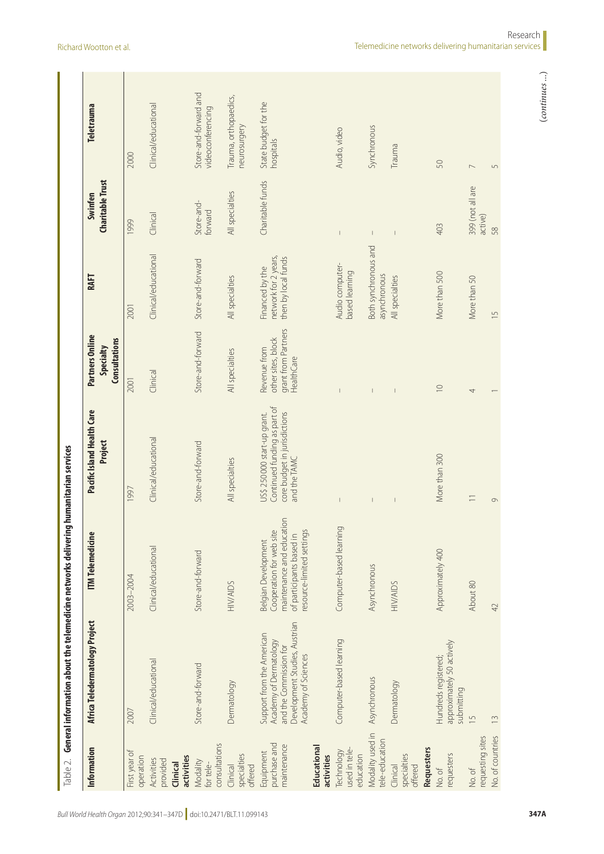<span id="page-7-0"></span>

| Teletrauma                                           | 2000                       | Clinical/educational                             | Store-and-forward and<br>videoconferencing | Trauma, orthopaedics,<br>neurosurgery | State budget for the<br>hospitals                                                                                                     |                           | Audio, video                             | Synchronous                          | Trauma                             |            | 50                                                              | $\overline{\phantom{0}}$    | 5                |
|------------------------------------------------------|----------------------------|--------------------------------------------------|--------------------------------------------|---------------------------------------|---------------------------------------------------------------------------------------------------------------------------------------|---------------------------|------------------------------------------|--------------------------------------|------------------------------------|------------|-----------------------------------------------------------------|-----------------------------|------------------|
| <b>Charitable Trust</b><br>Swinfen                   | 1999                       | Clinical                                         | Store-and-<br>forward                      | All specialties                       | Charitable funds                                                                                                                      |                           | $\overline{1}$                           | $\overline{\phantom{a}}$             | $\overline{1}$                     |            | 403                                                             | 399 (not all are<br>active) | 58               |
| RAFT                                                 | 2001                       | Clinical/educational                             | Store-and-forward                          | All specialties                       | network for 2 years,<br>then by local funds<br>Financed by the                                                                        |                           | Audio computer-<br>based learning        | Both synchronous and<br>asynchronous | All specialties                    |            | More than 500                                                   | More than 50                | $\overline{1}$   |
| Partners Online<br><b>Consultations</b><br>Specialty | 2001                       | Clinical                                         | Store-and-forward                          | All specialties                       | grant from Partners<br>other sites, block<br>Revenue from<br>HealthCare                                                               |                           |                                          |                                      | $\overline{\phantom{a}}$           |            | $\cup$                                                          | 4                           |                  |
| Pacific Island Health Care<br>Project                | 1997                       | Clinical/educational                             | Store-and-forward                          | All specialties                       | Continued funding as part of<br>core budget in jurisdictions<br>US\$ 250000 start-up grant.<br>and the TAMC                           |                           |                                          |                                      | $\overline{\phantom{a}}$           |            | More than 300                                                   | $\equiv$                    | 9                |
| <b>ITM Telemedicine</b>                              | 2003-2004                  | Clinical/educational                             | Store-and-forward                          | <b>HIV/AIDS</b>                       | maintenance and education<br>resource-limited settings<br>Cooperation for web site<br>of participants based in<br>Belgian Development |                           | Computer-based learning                  | Asynchronous                         | <b>HIV/AIDS</b>                    |            | Approximately 400                                               | About 80                    | 42               |
| Africa Teledermatology Project                       | 2007                       | Clinical/educational                             | Store-and-forward                          | Dermatology                           | Development Studies, Austrian<br>Support from the American<br>Academy of Dermatology<br>and the Commission for<br>Academy of Sciences |                           | Computer-based learning                  | Asynchronous                         | Dermatology                        |            | approximately 50 actively<br>Hundreds registered;<br>submitting | $\overline{15}$             | $\frac{1}{2}$    |
| Information                                          | First year of<br>operation | activities<br>Activities<br>provided<br>Clinical | consultations<br>Modality<br>for tele-     | specialties<br>offered<br>Clinical    | purchase and<br>maintenance<br>Equipment                                                                                              | Educational<br>activities | used in tele-<br>Technology<br>education | Modality used in<br>tele-education   | specialties<br>offered<br>Clinical | Requesters | requesters<br>No. of                                            | requesting sites<br>No. of  | No. of countries |

**Contract Contract** 

 $\left( continuous \ldots \right)$ (*continues* ...)

Research |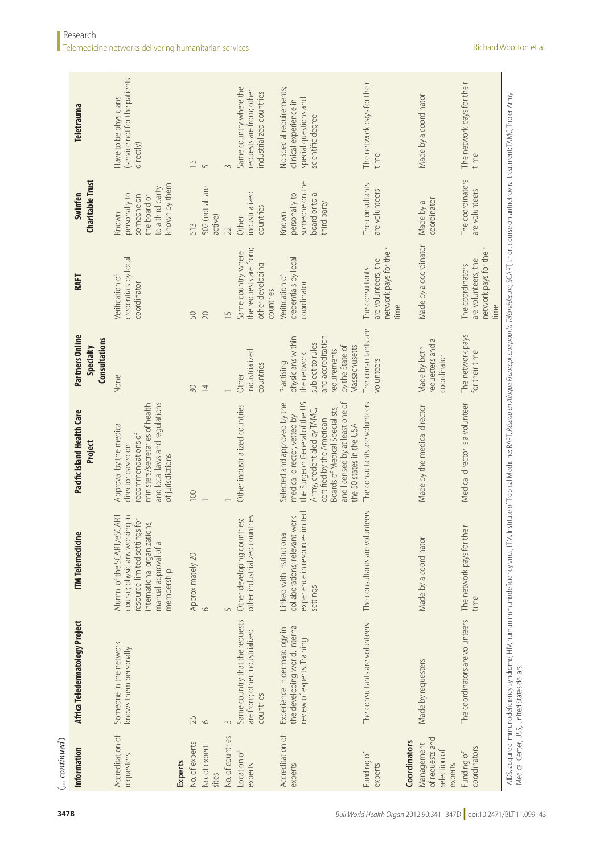| $\left(\ldots$ continued)                                                |                                                                                                                                                                                                                                                                                      |                                                                                                                                                                    |                                                                                                                                                                                                                                                           |                                                                                                                                              |                                                                               |                                                                                           |                                                                                                  |
|--------------------------------------------------------------------------|--------------------------------------------------------------------------------------------------------------------------------------------------------------------------------------------------------------------------------------------------------------------------------------|--------------------------------------------------------------------------------------------------------------------------------------------------------------------|-----------------------------------------------------------------------------------------------------------------------------------------------------------------------------------------------------------------------------------------------------------|----------------------------------------------------------------------------------------------------------------------------------------------|-------------------------------------------------------------------------------|-------------------------------------------------------------------------------------------|--------------------------------------------------------------------------------------------------|
| Information                                                              | Africa Teledermatology Project                                                                                                                                                                                                                                                       | <b>ITM</b> Telemedicine                                                                                                                                            | Pacific Island Health Care<br>Project                                                                                                                                                                                                                     | Partners Online<br><b>Consultations</b><br>Specialty                                                                                         | RAFT                                                                          | <b>Charitable Trust</b><br>Swinfen                                                        | <b>Teletrauma</b>                                                                                |
| Accreditation of<br>requesters                                           | Someone in the network<br>knows them personally                                                                                                                                                                                                                                      | Alumni of the SCART/eSCART<br>course; physicians working in<br>resource-limited settings for<br>international organizations;<br>manual approval of a<br>membership | and local laws and regulations<br>ministers/secretaries of health<br>Approval by the medical<br>ecommendations of<br>director based on<br>of jurisdictions                                                                                                | None                                                                                                                                         | credentials by local<br>Verification of<br>coordinator                        | known by them<br>to a third party<br>personally to<br>the board or<br>someone on<br>Known | (service not for the patients<br>Have to be physicians<br>directly)                              |
| <b>Experts</b>                                                           |                                                                                                                                                                                                                                                                                      |                                                                                                                                                                    |                                                                                                                                                                                                                                                           |                                                                                                                                              |                                                                               |                                                                                           |                                                                                                  |
| No. of experts                                                           | 25                                                                                                                                                                                                                                                                                   | Approximately 20                                                                                                                                                   | 100                                                                                                                                                                                                                                                       | 30                                                                                                                                           | 50                                                                            | 513                                                                                       | $\overline{1}$                                                                                   |
| No. of expert<br>sites                                                   | $\circ$                                                                                                                                                                                                                                                                              | $\circ$                                                                                                                                                            |                                                                                                                                                                                                                                                           | $\overline{4}$                                                                                                                               | $20$                                                                          | 502 (not all are<br>active)                                                               | $\overline{5}$                                                                                   |
| No. of countries                                                         | $\infty$                                                                                                                                                                                                                                                                             | 5                                                                                                                                                                  |                                                                                                                                                                                                                                                           |                                                                                                                                              | $\overline{1}$                                                                | 22                                                                                        | $\infty$                                                                                         |
| Location of<br>experts                                                   | Same country that the requests<br>are from; other industrialized<br>countries                                                                                                                                                                                                        | other industrialized countries<br>Other developing countries;                                                                                                      | Other industrialized countries                                                                                                                                                                                                                            | industrialized<br>countries<br>Other                                                                                                         | the requests are from;<br>Same country where<br>other developing<br>countries | ndustrialized<br>countries<br>Other                                                       | Same country where the<br>requests are from; other<br>industrialized countries                   |
| Accreditation of<br>experts                                              | the developing world. Internal<br>Experience in dermatology in<br>review of experts. Training                                                                                                                                                                                        | limited<br>work<br>Linked with institutional<br>collaborations; relevant<br>experience in resource-<br>settings                                                    | the Surgeon General of the US<br>Selected and approved by the<br>and licensed by at least one of<br>Boards of Medical Specialists,<br>Army, credentialed by TAMC,<br>medical director, vetted by<br>certified by the American<br>the 50 states in the USA | and accreditation<br>physicians within<br>subject to rules<br>Vlassachusetts<br>by the State of<br>requirements<br>the network<br>Practising | credentials by local<br><b>Jerification of</b><br>coordinator                 | someone on the<br>personally to<br>board or to a<br>third party<br>Known                  | No special requirements;<br>special questions and<br>clinical experience in<br>scientific degree |
| Funding of<br>experts                                                    | The consultants are volunteers                                                                                                                                                                                                                                                       | The consultants are volunteers                                                                                                                                     | The consultants are volunteers                                                                                                                                                                                                                            | The consultants are<br>volunteers                                                                                                            | network pays for their<br>are volunteers; the<br>The consultants<br>time      | The consultants<br>are volunteers                                                         | The network pays for their<br>time                                                               |
| of requests and<br>Coordinators<br>Management<br>selection of<br>experts | Made by requesters                                                                                                                                                                                                                                                                   | Made by a coordinator                                                                                                                                              | Made by the medical director                                                                                                                                                                                                                              | $\mathbf \sigma$<br>equesters and<br>Made by both<br>coordinator                                                                             | Made by a coordinator                                                         | coordinator<br>Made by a                                                                  | Made by a coordinator                                                                            |
| coordinators<br>Funding of                                               | The coordinators are volunteers                                                                                                                                                                                                                                                      | The network pays for their<br>time                                                                                                                                 | Medical director is a volunteer                                                                                                                                                                                                                           | The network pays<br>for their time                                                                                                           | network pays for their<br>are volunteers; the<br>The coordinators<br>time     | The coordinators<br>are volunteers                                                        | The network pays for their<br>time                                                               |
|                                                                          | AIDS, acquired immunodeficiency syndrome; HIV, human immunodeficiency virus; ITM, Institute of Topical Medicine; RAFT, Rés <i>eau en Afrique Francophone pour la Télémédecine; SC</i> ART, short course on antiretroviral treatment;<br>Medical Center; US\$, United States dollars. |                                                                                                                                                                    |                                                                                                                                                                                                                                                           |                                                                                                                                              |                                                                               |                                                                                           |                                                                                                  |

 $\sim 100$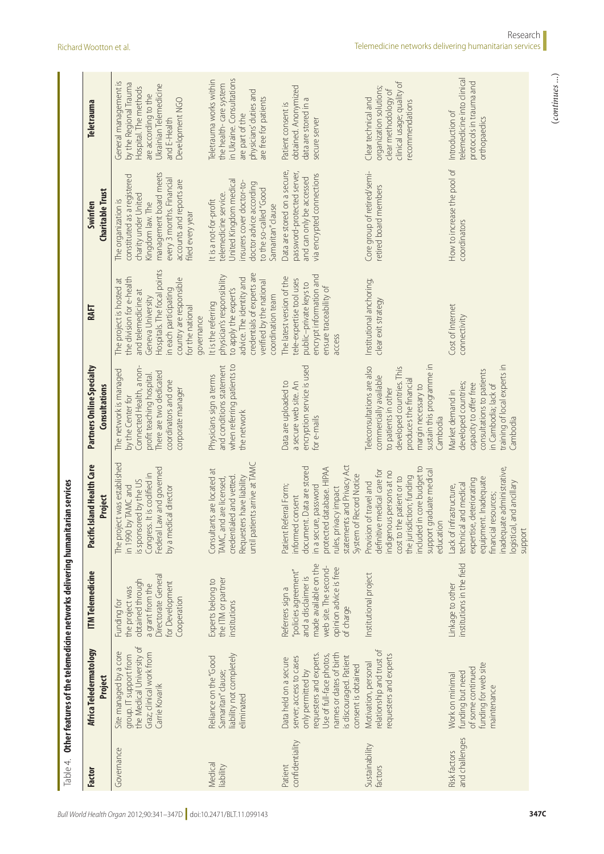<span id="page-9-0"></span>

|                                | $\Box$ able 4. Other features of the telemedicine networks delivering humanitarian services                                                                                                               |                                                                                                                                                          |                                                                                                                                                                                                                     |                                                                                                                                                                                                     |                                                                                                                                                                                                                        |                                                                                                                                                                                                       |                                                                                                                                                               |
|--------------------------------|-----------------------------------------------------------------------------------------------------------------------------------------------------------------------------------------------------------|----------------------------------------------------------------------------------------------------------------------------------------------------------|---------------------------------------------------------------------------------------------------------------------------------------------------------------------------------------------------------------------|-----------------------------------------------------------------------------------------------------------------------------------------------------------------------------------------------------|------------------------------------------------------------------------------------------------------------------------------------------------------------------------------------------------------------------------|-------------------------------------------------------------------------------------------------------------------------------------------------------------------------------------------------------|---------------------------------------------------------------------------------------------------------------------------------------------------------------|
| <b>Factor</b>                  | Africa Teledermatology<br>Project                                                                                                                                                                         | <b>ITM Telemedicine</b>                                                                                                                                  | Pacific Island Health Care<br>Project                                                                                                                                                                               | Partners Online Specialty<br>Consultations                                                                                                                                                          | RAFT                                                                                                                                                                                                                   | <b>Charitable Trust</b><br>Swinfen                                                                                                                                                                    | <b>Teletrauma</b>                                                                                                                                             |
| Governance                     | the Medical University of<br>Site managed by a core<br>Graz; clinical work from<br>group. IT support from<br>Carrie Kovarik                                                                               | Directorate General<br>obtained through<br>for Development<br>a grant from the<br>the project was<br>Cooperation<br>Funding for                          | The project was established<br>Federal Law and governed<br>Congress. It is codified in<br>is sponsored by the US<br>in 1990 by TAMC and<br>by a medical director                                                    | Connected Health, a non-<br>The network is managed<br>There are two dedicated<br>profit teaching hospital.<br>coordinators and one<br>corporate manager<br>by the Center for                        | Hospitals. The focal points<br>the division for e-health<br>country are responsible<br>The project is hosted at<br>in each participating<br>and telemedicine at<br>Geneva University<br>for the national<br>governance | management board meets<br>constituted as a registered<br>every 3 months. Financial<br>accounts and reports are<br>charity under United<br>The organization is<br>Kingdom law. The<br>filed every year | General management is<br>by the Regional Trauma<br>Ukrainian Telemedicine<br>Hospital. The methods<br>are according to the<br>Development NGO<br>and E-Health |
| Medical<br>liability           | liability not completely<br>Reliance on the "Good<br>Samaritan" clause;<br>eliminated                                                                                                                     | the ITM or partner<br>Experts belong to<br>institutions                                                                                                  | until patients arrive at TAMC<br>Consultants are located at<br>Requesters have liability<br>credentialed and vetted.<br>TAMC, and are licensed                                                                      | when referring patients to<br>and conditions statement<br>Physicians sign a terms<br>the network                                                                                                    | credentials of experts are<br>ohysician's responsibility<br>advice. The identity and<br>verified by the national<br>to apply the expert's<br>coordination team<br>It is the referring                                  | United Kingdom medical<br>nsurers cover doctor-to-<br>doctor advice according<br>to the so-called "Good<br>telemedicine service.<br>It is a not-for-profit<br>Samaritan" clause                       | in Ukraine. Consultations<br>Teletrauma works within<br>the health-care system<br>physicians' duties and<br>are free for patients<br>are part of the          |
| confidentiality<br>Patient     | requesters and experts.<br>names or dates of birth<br>Use of full-face photos,<br>is discouraged. Patient<br>server; access to cases<br>Data held on a secure<br>consent is obtained<br>only permitted by | made available on the<br>web site. The second-<br>opinion advice is free<br>"policies agreement"<br>and a disclaimer is<br>Referrers sign a<br>of charge | statements and Privacy Act<br>document. Data are stored<br>protected database. HIPAA<br>System of Record Notice<br>Patient Referral Form;<br>n a secure, password<br>rules, privacy impact<br>informed consent      | encryption service is used<br>Data are uploaded to<br>a secure web site. An<br>for e-mails                                                                                                          | encrypt information and<br>The latest version of the<br>tele-expertise tool uses<br>public-private keys to<br>ensure traceability of<br>access                                                                         | Data are stored on a secure,<br>password-protected server,<br>via encrypted connections<br>and can only be accessed                                                                                   | obtained. Anonymized<br>data are stored in a<br>Patient consent is<br>secure server                                                                           |
| Sustainability<br>factors      | relationship and trust of<br>requesters and experts<br>Motivation, personal                                                                                                                               | Institutional project                                                                                                                                    | included in core budget to<br>definitive medical care for<br>support graduate medical<br>indigenous persons at no<br>the jurisdiction; funding<br>cost to the patient or to<br>Provision of travel and<br>education | sustain this programme in<br>Teleconsultations are also<br>developed countries. This<br>commercially available<br>produces the financial<br>margin necessary to<br>to patients in other<br>Cambodia | Institutional anchoring;<br>clear exit strategy                                                                                                                                                                        | Core group of retired/semi-<br>retired board members                                                                                                                                                  | clinical usage; quality of<br>organization solutions;<br>clear methodology of<br>Clear technical and<br>recommendations                                       |
| and challenges<br>Risk factors | funding for web site<br>of some continued<br>funding but need<br>Work on minimal<br>maintenance                                                                                                           | institutions in the field<br>Linkage to other                                                                                                            | inadequate administrative,<br>equipment. Inadequate<br>expertise, deteriorating<br>logistical, and ancillary<br>technical and medical<br>ack of infrastructure,<br>financial resources;<br>support                  | training of local experts in<br>consultations to patients<br>developed countries;<br>capacity to offer free<br>in Cambodia; lack of<br>Market demand in<br>Cambodia                                 | Cost of Internet<br>connectivity                                                                                                                                                                                       | How to increase the pool of<br>coordinators                                                                                                                                                           | telemedicine into clinical<br>protocols in trauma and<br>Introduction of<br>orthopaedics                                                                      |

 $\mathbf{r}$ 

 $(\emph{continuous} \dots)$ (*continues* ...)